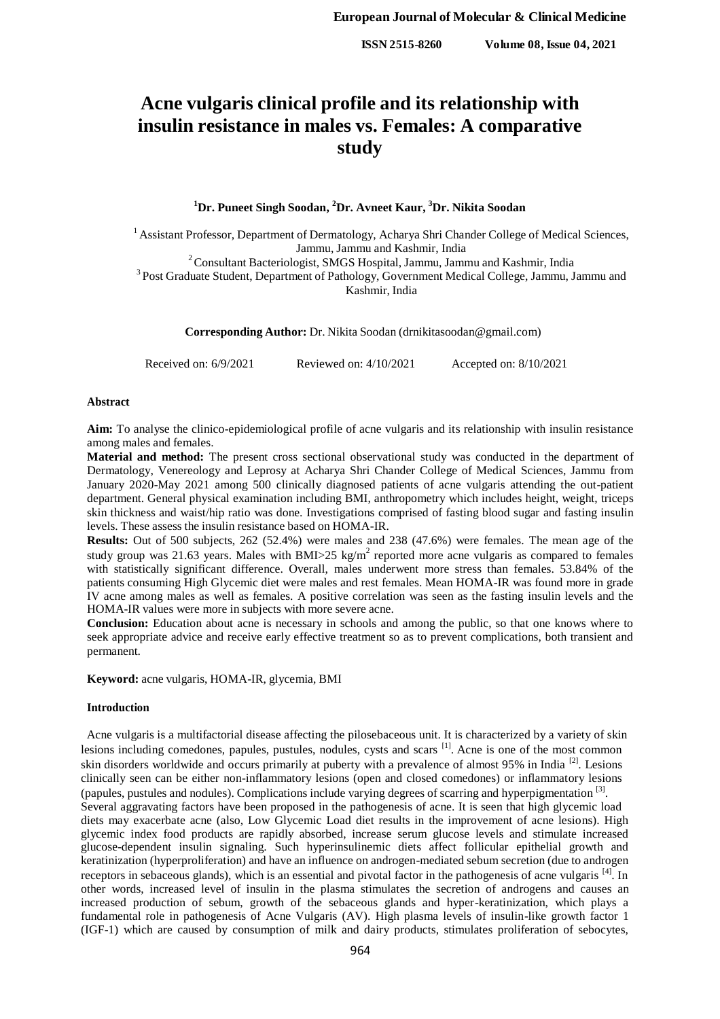**ISSN 2515-8260 Volume 08, Issue 04, 2021**

# **Acne vulgaris clinical profile and its relationship with insulin resistance in males vs. Females: A comparative study**

**<sup>1</sup>Dr. Puneet Singh Soodan, <sup>2</sup>Dr. Avneet Kaur, <sup>3</sup>Dr. Nikita Soodan**

<sup>1</sup> Assistant Professor, Department of Dermatology, Acharya Shri Chander College of Medical Sciences, Jammu, Jammu and Kashmir, India

<sup>2</sup> Consultant Bacteriologist, SMGS Hospital, Jammu, Jammu and Kashmir, India <sup>3</sup> Post Graduate Student, Department of Pathology, Government Medical College, Jammu, Jammu and Kashmir, India

**Corresponding Author:** Dr. Nikita Soodan (drnikitasoodan@gmail.com)

Received on: 6/9/2021 Reviewed on: 4/10/2021 Accepted on: 8/10/2021

## **Abstract**

**Aim:** To analyse the clinico-epidemiological profile of acne vulgaris and its relationship with insulin resistance among males and females.

**Material and method:** The present cross sectional observational study was conducted in the department of Dermatology, Venereology and Leprosy at Acharya Shri Chander College of Medical Sciences, Jammu from January 2020-May 2021 among 500 clinically diagnosed patients of acne vulgaris attending the out-patient department. General physical examination including BMI, anthropometry which includes height, weight, triceps skin thickness and waist/hip ratio was done. Investigations comprised of fasting blood sugar and fasting insulin levels. These assess the insulin resistance based on HOMA-IR.

**Results:** Out of 500 subjects, 262 (52.4%) were males and 238 (47.6%) were females. The mean age of the study group was 21.63 years. Males with BMI>25 kg/m<sup>2</sup> reported more acne vulgaris as compared to females with statistically significant difference. Overall, males underwent more stress than females. 53.84% of the patients consuming High Glycemic diet were males and rest females. Mean HOMA-IR was found more in grade IV acne among males as well as females. A positive correlation was seen as the fasting insulin levels and the HOMA-IR values were more in subjects with more severe acne.

**Conclusion:** Education about acne is necessary in schools and among the public, so that one knows where to seek appropriate advice and receive early effective treatment so as to prevent complications, both transient and permanent.

**Keyword:** acne vulgaris, HOMA-IR, glycemia, BMI

#### **Introduction**

Acne vulgaris is a multifactorial disease affecting the pilosebaceous unit. It is characterized by a variety of skin lesions including comedones, papules, pustules, nodules, cysts and scars <sup>[1]</sup>. Acne is one of the most common skin disorders worldwide and occurs primarily at puberty with a prevalence of almost 95% in India<sup>[2]</sup>. Lesions clinically seen can be either non-inflammatory lesions (open and closed comedones) or inflammatory lesions (papules, pustules and nodules). Complications include varying degrees of scarring and hyperpigmentation<sup>[3]</sup>. Several aggravating factors have been proposed in the pathogenesis of acne. It is seen that high glycemic load diets may exacerbate acne (also, Low Glycemic Load diet results in the improvement of acne lesions). High glycemic index food products are rapidly absorbed, increase serum glucose levels and stimulate increased glucose-dependent insulin signaling. Such hyperinsulinemic diets affect follicular epithelial growth and keratinization (hyperproliferation) and have an influence on androgen-mediated sebum secretion (due to androgen receptors in sebaceous glands), which is an essential and pivotal factor in the pathogenesis of acne vulgaris [4]. In other words, increased level of insulin in the plasma stimulates the secretion of androgens and causes an increased production of sebum, growth of the sebaceous glands and hyper-keratinization, which plays a fundamental role in pathogenesis of Acne Vulgaris (AV). High plasma levels of insulin-like growth factor 1 (IGF-1) which are caused by consumption of milk and dairy products, stimulates proliferation of sebocytes,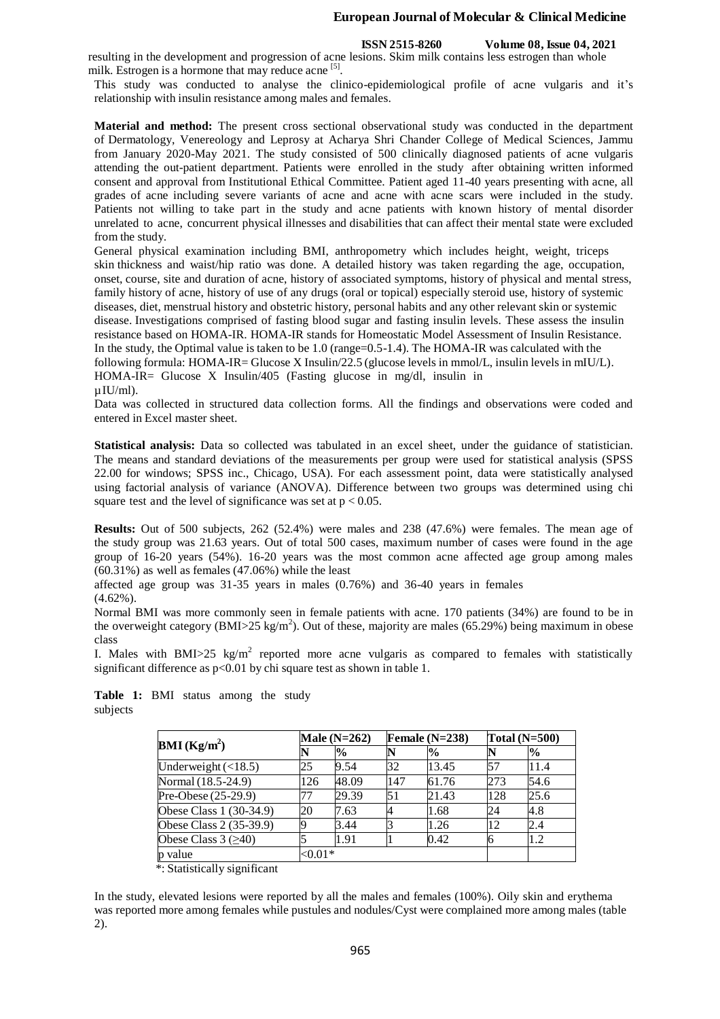#### **European Journal of Molecular & Clinical Medicine**

#### **ISSN 2515-8260 Volume 08, Issue 04, 2021**

resulting in the development and progression of acne lesions. Skim milk contains less estrogen than whole milk. Estrogen is a hormone that may reduce acne [5].

This study was conducted to analyse the clinico-epidemiological profile of acne vulgaris and it's relationship with insulin resistance among males and females.

**Material and method:** The present cross sectional observational study was conducted in the department of Dermatology, Venereology and Leprosy at Acharya Shri Chander College of Medical Sciences, Jammu from January 2020-May 2021. The study consisted of 500 clinically diagnosed patients of acne vulgaris attending the out-patient department. Patients were enrolled in the study after obtaining written informed consent and approval from Institutional Ethical Committee. Patient aged 11-40 years presenting with acne, all grades of acne including severe variants of acne and acne with acne scars were included in the study. Patients not willing to take part in the study and acne patients with known history of mental disorder unrelated to acne, concurrent physical illnesses and disabilities that can affect their mental state were excluded from the study.

General physical examination including BMI, anthropometry which includes height, weight, triceps skin thickness and waist/hip ratio was done. A detailed history was taken regarding the age, occupation, onset, course, site and duration of acne, history of associated symptoms, history of physical and mental stress, family history of acne, history of use of any drugs (oral or topical) especially steroid use, history of systemic diseases, diet, menstrual history and obstetric history, personal habits and any other relevant skin or systemic disease. Investigations comprised of fasting blood sugar and fasting insulin levels. These assess the insulin resistance based on HOMA-IR. HOMA-IR stands for Homeostatic Model Assessment of Insulin Resistance. In the study, the Optimal value is taken to be 1.0 (range=0.5-1.4). The HOMA-IR was calculated with the following formula: HOMA-IR= Glucose X Insulin/22.5 (glucose levels in mmol/L, insulin levels in mIU/L). HOMA-IR= Glucose X Insulin/405 (Fasting glucose in mg/dl, insulin in  $\mu$ IU/ml).

Data was collected in structured data collection forms. All the findings and observations were coded and entered in Excel master sheet.

**Statistical analysis:** Data so collected was tabulated in an excel sheet, under the guidance of statistician. The means and standard deviations of the measurements per group were used for statistical analysis (SPSS 22.00 for windows; SPSS inc., Chicago, USA). For each assessment point, data were statistically analysed using factorial analysis of variance (ANOVA). Difference between two groups was determined using chi square test and the level of significance was set at  $p < 0.05$ .

**Results:** Out of 500 subjects, 262 (52.4%) were males and 238 (47.6%) were females. The mean age of the study group was 21.63 years. Out of total 500 cases, maximum number of cases were found in the age group of 16-20 years (54%). 16-20 years was the most common acne affected age group among males (60.31%) as well as females (47.06%) while the least

affected age group was 31-35 years in males (0.76%) and 36-40 years in females (4.62%).

Normal BMI was more commonly seen in female patients with acne. 170 patients (34%) are found to be in the overweight category (BMI>25 kg/m<sup>2</sup>). Out of these, majority are males (65.29%) being maximum in obese class

I. Males with BMI $>$ 25 kg/m<sup>2</sup> reported more acne vulgaris as compared to females with statistically significant difference as  $p<0.01$  by chi square test as shown in table 1.

| $\mathbf{BMI}(\mathbf{Kg/m}^2)$ | Male $(N=262)$ |               | Female $(N=238)$ |               | Total $(N=500)$ |      |
|---------------------------------|----------------|---------------|------------------|---------------|-----------------|------|
|                                 |                | $\frac{1}{2}$ |                  | $\frac{0}{0}$ |                 | $\%$ |
| Underweight $(\leq 18.5)$       | 25             | 9.54          | 32               | 13.45         | 57              | 11.4 |
| Normal (18.5-24.9)              | 126            | 48.09         | 147              | 61.76         | 273             | 54.6 |
| Pre-Obese (25-29.9)             | 77             | 29.39         | 51               | 21.43         | 128             | 25.6 |
| Obese Class 1 (30-34.9)         | 20             | 7.63          |                  | 1.68          | 24              | 4.8  |
| Obese Class 2 (35-39.9)         | Q              | 3.44          |                  | 1.26          | 12              | 2.4  |
| Obese Class $3 \geq 40$         |                | 1.91          |                  | 0.42          |                 | 1.2  |
| p value                         | ${<}0.01*$     |               |                  |               |                 |      |

**Table 1:** BMI status among the study subjects

\*: Statistically significant

In the study, elevated lesions were reported by all the males and females (100%). Oily skin and erythema was reported more among females while pustules and nodules/Cyst were complained more among males (table 2).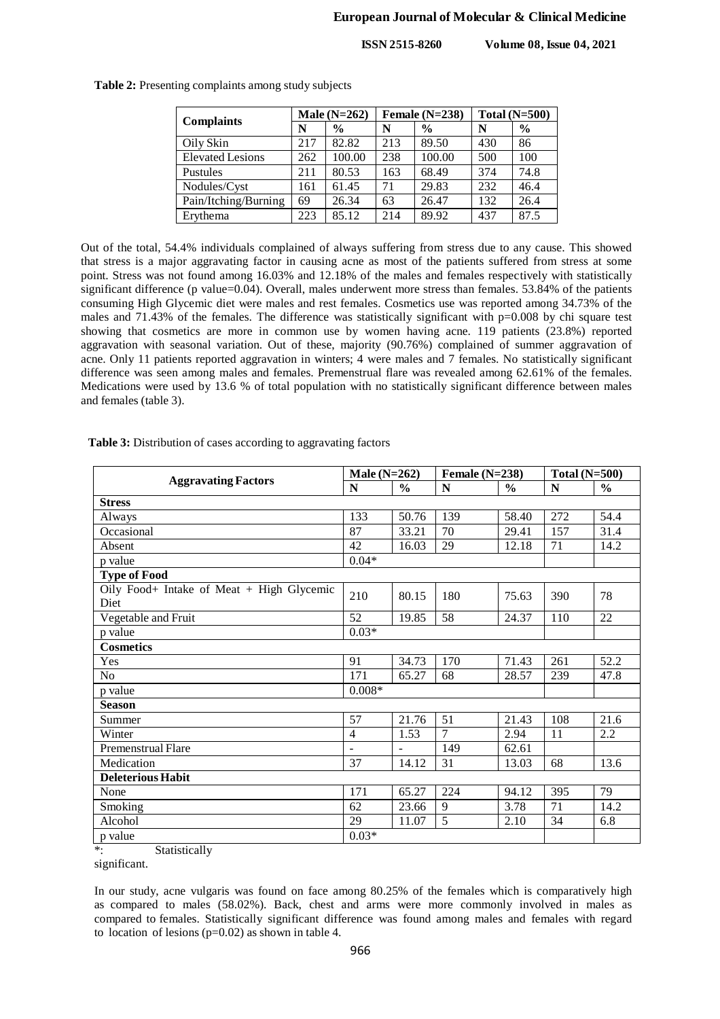**ISSN 2515-8260 Volume 08, Issue 04, 2021**

| <b>Complaints</b>       | Male $(N=262)$ |               | Female $(N=238)$ |               | Total $(N=500)$ |               |
|-------------------------|----------------|---------------|------------------|---------------|-----------------|---------------|
|                         | N              | $\frac{0}{0}$ | N                | $\frac{0}{0}$ | N               | $\frac{6}{9}$ |
| Oily Skin               | 217            | 82.82         | 213              | 89.50         | 430             | 86            |
| <b>Elevated Lesions</b> | 262            | 100.00        | 238              | 100.00        | 500             | 100           |
| Pustules                | 211            | 80.53         | 163              | 68.49         | 374             | 74.8          |
| Nodules/Cyst            | 161            | 61.45         | 71               | 29.83         | 232             | 46.4          |
| Pain/Itching/Burning    | 69             | 26.34         | 63               | 26.47         | 132             | 26.4          |
| Erythema                | 223            | 85.12         | 214              | 89.92         | 437             | 87.5          |
|                         |                |               |                  |               |                 |               |

**Table 2:** Presenting complaints among study subjects

Out of the total, 54.4% individuals complained of always suffering from stress due to any cause. This showed that stress is a major aggravating factor in causing acne as most of the patients suffered from stress at some point. Stress was not found among 16.03% and 12.18% of the males and females respectively with statistically significant difference (p value=0.04). Overall, males underwent more stress than females. 53.84% of the patients consuming High Glycemic diet were males and rest females. Cosmetics use was reported among 34.73% of the males and 71.43% of the females. The difference was statistically significant with p=0.008 by chi square test showing that cosmetics are more in common use by women having acne. 119 patients (23.8%) reported aggravation with seasonal variation. Out of these, majority (90.76%) complained of summer aggravation of acne. Only 11 patients reported aggravation in winters; 4 were males and 7 females. No statistically significant difference was seen among males and females. Premenstrual flare was revealed among 62.61% of the females. Medications were used by 13.6 % of total population with no statistically significant difference between males and females (table 3).

|                                           | Male $(N=262)$ |                | Female $(N=238)$ |               | Total $(N=500)$ |               |
|-------------------------------------------|----------------|----------------|------------------|---------------|-----------------|---------------|
| <b>Aggravating Factors</b>                |                | $\frac{0}{0}$  | N                | $\frac{0}{0}$ | N               | $\frac{6}{6}$ |
| <b>Stress</b>                             |                |                |                  |               |                 |               |
| Always                                    | 133            | 50.76          | 139              | 58.40         | 272             | 54.4          |
| Occasional                                | 87             | 33.21          | 70               | 29.41         | 157             | 31.4          |
| Absent                                    | 42             | 16.03          | 29               | 12.18         | 71              | 14.2          |
| p value                                   | $0.04*$        |                |                  |               |                 |               |
| <b>Type of Food</b>                       |                |                |                  |               |                 |               |
| Oily Food+ Intake of Meat + High Glycemic | 210            | 80.15          | 180              | 75.63         | 390             | 78            |
| Diet                                      |                |                |                  |               |                 |               |
| Vegetable and Fruit                       | 52             | 19.85          | 58               | 24.37         | 110             | 22            |
| p value                                   | $0.03*$        |                |                  |               |                 |               |
| <b>Cosmetics</b>                          |                |                |                  |               |                 |               |
| Yes                                       | 91             | 34.73          | 170              | 71.43         | 261             | 52.2          |
| N <sub>o</sub>                            | 171            | 65.27          | 68               | 28.57         | 239             | 47.8          |
| p value                                   | $0.008*$       |                |                  |               |                 |               |
| <b>Season</b>                             |                |                |                  |               |                 |               |
| Summer                                    | 57             | 21.76          | 51               | 21.43         | 108             | 21.6          |
| Winter                                    | 4              | 1.53           | 7                | 2.94          | 11              | 2.2           |
| Premenstrual Flare                        | $\overline{a}$ | $\overline{a}$ | 149              | 62.61         |                 |               |
| Medication                                | 37             | 14.12          | 31               | 13.03         | 68              | 13.6          |
| <b>Deleterious Habit</b>                  |                |                |                  |               |                 |               |
| None                                      | 171            | 65.27          | 224              | 94.12         | 395             | 79            |
| Smoking                                   | 62             | 23.66          | 9                | 3.78          | 71              | 14.2          |
| Alcohol                                   | 29             | 11.07          | 5                | 2.10          | 34              | 6.8           |
| p value                                   | $0.03*$        |                |                  |               |                 |               |

**Table 3:** Distribution of cases according to aggravating factors

\*: Statistically

significant.

In our study, acne vulgaris was found on face among 80.25% of the females which is comparatively high as compared to males (58.02%). Back, chest and arms were more commonly involved in males as compared to females. Statistically significant difference was found among males and females with regard to location of lesions  $(p=0.02)$  as shown in table 4.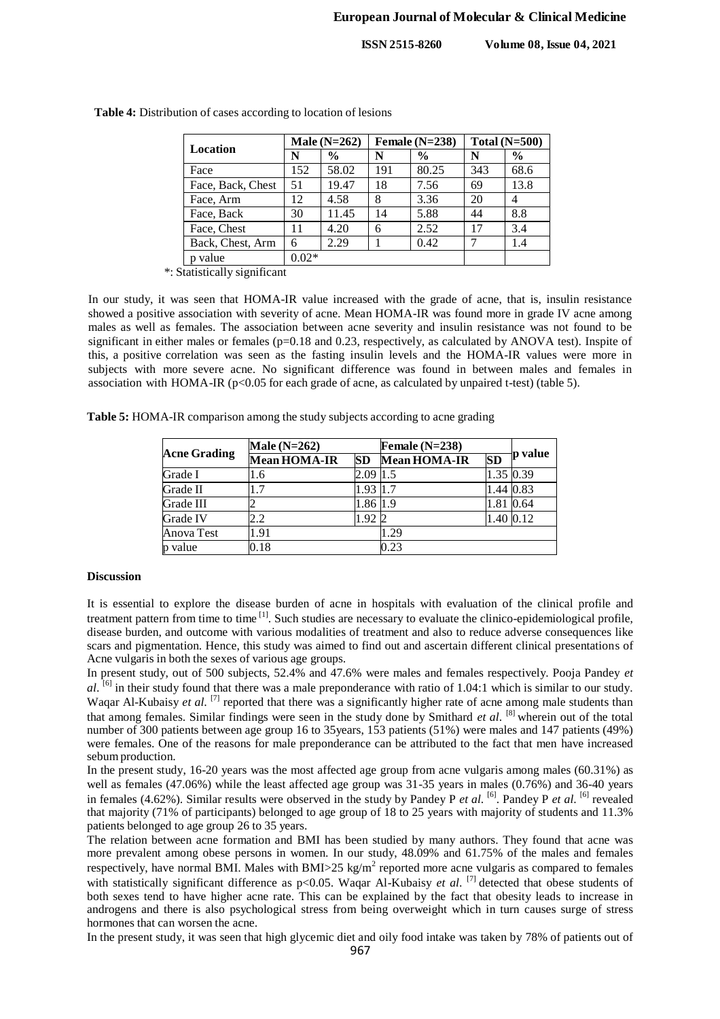**ISSN 2515-8260 Volume 08, Issue 04, 2021**

| Male $(N=262)$ |               |     |               | Total $(N=500)$  |               |  |
|----------------|---------------|-----|---------------|------------------|---------------|--|
| N              | $\frac{6}{9}$ | N   | $\frac{6}{6}$ | N                | $\frac{6}{6}$ |  |
| 152            | 58.02         | 191 | 80.25         | 343              | 68.6          |  |
| 51             | 19.47         | 18  | 7.56          | 69               | 13.8          |  |
| 12             | 4.58          | 8   | 3.36          | 20               | 4             |  |
| 30             | 11.45         | 14  | 5.88          | 44               | 8.8           |  |
| 11             | 4.20          | 6   | 2.52          | 17               | 3.4           |  |
| 6              | 2.29          |     | 0.42          |                  | 1.4           |  |
| $0.02*$        |               |     |               |                  |               |  |
|                |               |     |               | Female $(N=238)$ |               |  |

**Table 4:** Distribution of cases according to location of lesions

\*: Statistically significant

In our study, it was seen that HOMA-IR value increased with the grade of acne, that is, insulin resistance showed a positive association with severity of acne. Mean HOMA-IR was found more in grade IV acne among males as well as females. The association between acne severity and insulin resistance was not found to be significant in either males or females (p=0.18 and 0.23, respectively, as calculated by ANOVA test). Inspite of this, a positive correlation was seen as the fasting insulin levels and the HOMA-IR values were more in subjects with more severe acne. No significant difference was found in between males and females in association with HOMA-IR ( $p<0.05$  for each grade of acne, as calculated by unpaired t-test) (table 5).

**Table 5:** HOMA-IR comparison among the study subjects according to acne grading

| <b>Acne Grading</b> | Male $(N=262)$      |           | Female $(N=238)$    |           |           |
|---------------------|---------------------|-----------|---------------------|-----------|-----------|
|                     | <b>Mean HOMA-IR</b> | <b>SD</b> | <b>Mean HOMA-IR</b> | <b>SD</b> | p value   |
| Grade I             | 1.6                 | 2.09      | 1.5                 | 1.35 0.39 |           |
| Grade II            |                     | 1.93      |                     |           | 1.44 0.83 |
| Grade III           |                     | 1.86 1.9  |                     | 1.81 0.64 |           |
| Grade IV            | 2.2                 | 1.922     |                     |           | 1.40 0.12 |
| Anova Test          | 1.91                |           | 1.29                |           |           |
| p value             | 0.18                |           | 0.23                |           |           |

#### **Discussion**

It is essential to explore the disease burden of acne in hospitals with evaluation of the clinical profile and treatment pattern from time to time <sup>[1]</sup>. Such studies are necessary to evaluate the clinico-epidemiological profile, disease burden, and outcome with various modalities of treatment and also to reduce adverse consequences like scars and pigmentation. Hence, this study was aimed to find out and ascertain different clinical presentations of Acne vulgaris in both the sexes of various age groups.

In present study, out of 500 subjects, 52.4% and 47.6% were males and females respectively. Pooja Pandey *et al*. [6] in their study found that there was a male preponderance with ratio of 1.04:1 which is similar to our study. Waqar Al-Kubaisy *et al.* <sup>[7]</sup> reported that there was a significantly higher rate of acne among male students than that among females. Similar findings were seen in the study done by Smithard *et al*. [8] wherein out of the total number of 300 patients between age group 16 to 35years, 153 patients (51%) were males and 147 patients (49%) were females. One of the reasons for male preponderance can be attributed to the fact that men have increased sebum production.

In the present study, 16-20 years was the most affected age group from acne vulgaris among males (60.31%) as well as females (47.06%) while the least affected age group was 31-35 years in males (0.76%) and 36-40 years in females (4.62%). Similar results were observed in the study by Pandey P *et al*. [6] . Pandey P *et al*. [6] revealed that majority (71% of participants) belonged to age group of 18 to 25 years with majority of students and 11.3% patients belonged to age group 26 to 35 years.

The relation between acne formation and BMI has been studied by many authors. They found that acne was more prevalent among obese persons in women. In our study, 48.09% and 61.75% of the males and females respectively, have normal BMI. Males with BMI>25 kg/m<sup>2</sup> reported more acne vulgaris as compared to females with statistically significant difference as p<0.05. Waqar Al-Kubaisy *et al.* <sup>[7]</sup> detected that obese students of both sexes tend to have higher acne rate. This can be explained by the fact that obesity leads to increase in androgens and there is also psychological stress from being overweight which in turn causes surge of stress hormones that can worsen the acne.

In the present study, it was seen that high glycemic diet and oily food intake was taken by 78% of patients out of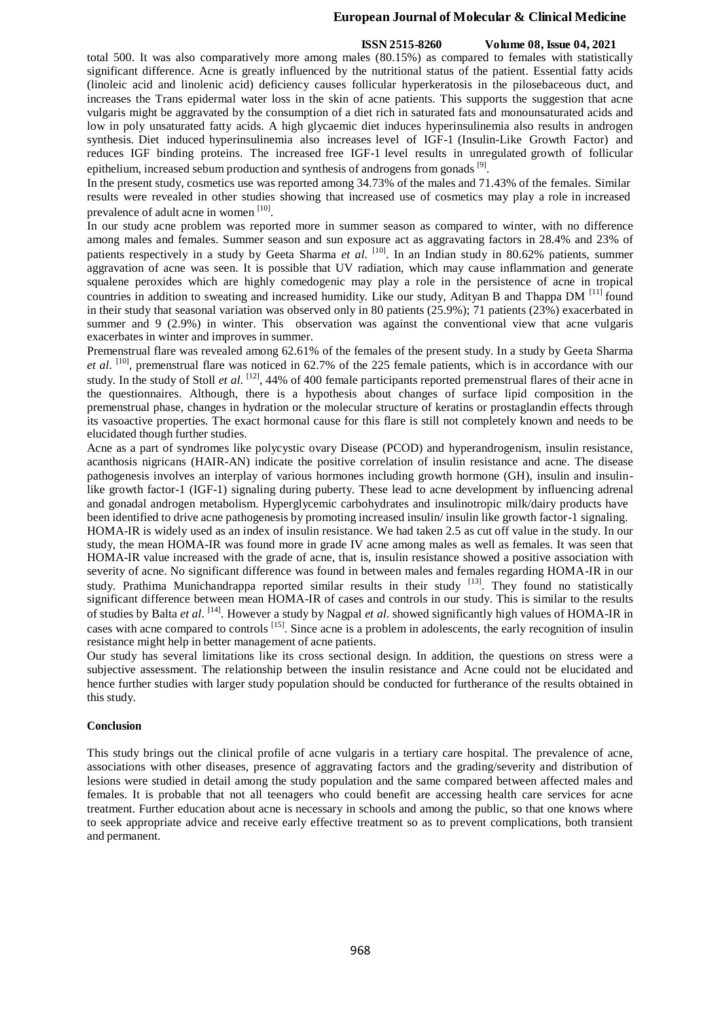### **European Journal of Molecular & Clinical Medicine**

#### **ISSN 2515-8260 Volume 08, Issue 04, 2021**

total 500. It was also comparatively more among males (80.15%) as compared to females with statistically significant difference. Acne is greatly influenced by the nutritional status of the patient. Essential fatty acids (linoleic acid and linolenic acid) deficiency causes follicular hyperkeratosis in the pilosebaceous duct, and increases the Trans epidermal water loss in the skin of acne patients. This supports the suggestion that acne vulgaris might be aggravated by the consumption of a diet rich in saturated fats and monounsaturated acids and low in poly unsaturated fatty acids. A high glycaemic diet induces hyperinsulinemia also results in androgen synthesis. Diet induced hyperinsulinemia also increases level of IGF-1 (Insulin-Like Growth Factor) and reduces IGF binding proteins. The increased free IGF-1 level results in unregulated growth of follicular epithelium, increased sebum production and synthesis of androgens from gonads<sup>[9]</sup>.

In the present study, cosmetics use was reported among 34.73% of the males and 71.43% of the females. Similar results were revealed in other studies showing that increased use of cosmetics may play a role in increased prevalence of adult acne in women [10].

In our study acne problem was reported more in summer season as compared to winter, with no difference among males and females. Summer season and sun exposure act as aggravating factors in 28.4% and 23% of patients respectively in a study by Geeta Sharma *et al*. [10] . In an Indian study in 80.62% patients, summer aggravation of acne was seen. It is possible that UV radiation, which may cause inflammation and generate squalene peroxides which are highly comedogenic may play a role in the persistence of acne in tropical countries in addition to sweating and increased humidity. Like our study, Adityan B and Thappa DM  $^{[11]}$  found in their study that seasonal variation was observed only in 80 patients (25.9%); 71 patients (23%) exacerbated in summer and 9 (2.9%) in winter. This observation was against the conventional view that acne vulgaris exacerbates in winter and improves in summer.

Premenstrual flare was revealed among 62.61% of the females of the present study. In a study by Geeta Sharma *et al*. [10] , premenstrual flare was noticed in 62.7% of the 225 female patients, which is in accordance with our study. In the study of Stoll *et al.* <sup>[12]</sup>, 44% of 400 female participants reported premenstrual flares of their acne in the questionnaires. Although, there is a hypothesis about changes of surface lipid composition in the premenstrual phase, changes in hydration or the molecular structure of keratins or prostaglandin effects through its vasoactive properties. The exact hormonal cause for this flare is still not completely known and needs to be elucidated though further studies.

Acne as a part of syndromes like polycystic ovary Disease (PCOD) and hyperandrogenism, insulin resistance, acanthosis nigricans (HAIR-AN) indicate the positive correlation of insulin resistance and acne. The disease pathogenesis involves an interplay of various hormones including growth hormone (GH), insulin and insulinlike growth factor-1 (IGF-1) signaling during puberty. These lead to acne development by influencing adrenal and gonadal androgen metabolism. Hyperglycemic carbohydrates and insulinotropic milk/dairy products have been identified to drive acne pathogenesis by promoting increased insulin/ insulin like growth factor-1 signaling.

HOMA-IR is widely used as an index of insulin resistance. We had taken 2.5 as cut off value in the study. In our study, the mean HOMA-IR was found more in grade IV acne among males as well as females. It was seen that HOMA-IR value increased with the grade of acne, that is, insulin resistance showed a positive association with severity of acne. No significant difference was found in between males and females regarding HOMA-IR in our study. Prathima Munichandrappa reported similar results in their study [13]. They found no statistically significant difference between mean HOMA-IR of cases and controls in our study. This is similar to the results of studies by Balta *et al*. [14] . However a study by Nagpal *et al*. showed significantly high values of HOMA-IR in cases with acne compared to controls <sup>[15]</sup>. Since acne is a problem in adolescents, the early recognition of insulin resistance might help in better management of acne patients.

Our study has several limitations like its cross sectional design. In addition, the questions on stress were a subjective assessment. The relationship between the insulin resistance and Acne could not be elucidated and hence further studies with larger study population should be conducted for furtherance of the results obtained in this study.

#### **Conclusion**

This study brings out the clinical profile of acne vulgaris in a tertiary care hospital. The prevalence of acne, associations with other diseases, presence of aggravating factors and the grading/severity and distribution of lesions were studied in detail among the study population and the same compared between affected males and females. It is probable that not all teenagers who could benefit are accessing health care services for acne treatment. Further education about acne is necessary in schools and among the public, so that one knows where to seek appropriate advice and receive early effective treatment so as to prevent complications, both transient and permanent.